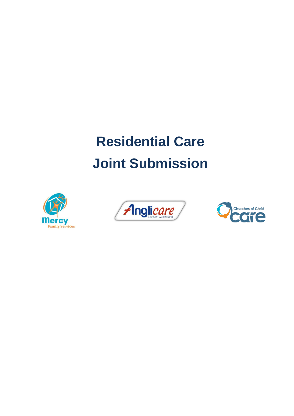# **Residential Care Joint Submission**





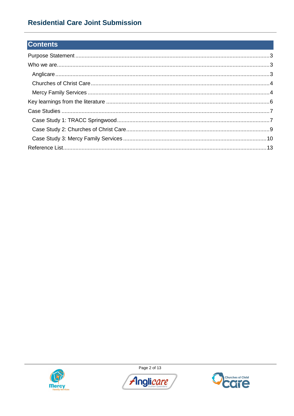# **Residential Care Joint Submission**

# **Contents**



Page 2 of 13



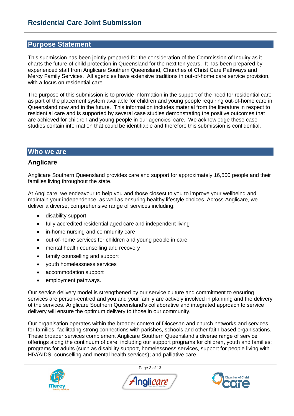# **Purpose Statement**

This submission has been jointly prepared for the consideration of the Commission of Inquiry as it charts the future of child protection in Queensland for the next ten years. It has been prepared by experienced staff from Anglicare Southern Queensland, Churches of Christ Care Pathways and Mercy Family Services. All agencies have extensive traditions in out-of-home care service provision, with a focus on residential care.

The purpose of this submission is to provide information in the support of the need for residential care as part of the placement system available for children and young people requiring out-of-home care in Queensland now and in the future. This information includes material from the literature in respect to residential care and is supported by several case studies demonstrating the positive outcomes that are achieved for children and young people in our agencies' care. We acknowledge these case studies contain information that could be identifiable and therefore this submission is confidential.

# **Who we are**

# **Anglicare**

Anglicare Southern Queensland provides care and support for approximately 16,500 people and their families living throughout the state.

At Anglicare, we endeavour to help you and those closest to you to improve your wellbeing and maintain your independence, as well as ensuring healthy lifestyle choices. Across Anglicare, we deliver a diverse, comprehensive range of services including:

- disability support
- fully accredited residential aged care and independent living
- in-home nursing and community care
- out-of-home services for children and young people in care
- mental health counselling and recovery
- family counselling and support
- youth homelessness services
- accommodation support
- employment pathways.

Our service delivery model is strengthened by our service culture and commitment to ensuring services are person-centred and you and your family are actively involved in planning and the delivery of the services. Anglicare Southern Queensland's collaborative and integrated approach to service delivery will ensure the optimum delivery to those in our community.

Our organisation operates within the broader context of Diocesan and church networks and services for families, facilitating strong connections with parishes, schools and other faith-based organisations. These broader services complement Anglicare Southern Queensland's diverse range of service offerings along the continuum of care, including our support programs for children, youth and families; programs for adults (such as disability support, homelessness services, support for people living with HIV/AIDS, counselling and mental health services); and palliative care.



Page 3 of 13



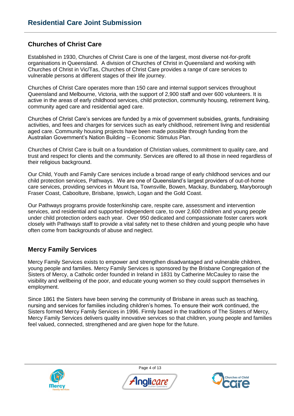# **Churches of Christ Care**

Established in 1930, Churches of Christ Care is one of the largest, most diverse not-for-profit organisations in Queensland. A division of Churches of Christ in Queensland and working with Churches of Christ in Vic/Tas, Churches of Christ Care provides a range of care services to vulnerable persons at different stages of their life journey.

Churches of Christ Care operates more than 150 care and internal support services throughout Queensland and Melbourne, Victoria, with the support of 2,900 staff and over 600 volunteers. It is active in the areas of early childhood services, child protection, community housing, retirement living, community aged care and residential aged care.

Churches of Christ Care's services are funded by a mix of government subsidies, grants, fundraising activities, and fees and charges for services such as early childhood, retirement living and residential aged care. Community housing projects have been made possible through funding from the Australian Government's Nation Building – Economic Stimulus Plan.

Churches of Christ Care is built on a foundation of Christian values, commitment to quality care, and trust and respect for clients and the community. Services are offered to all those in need regardless of their religious background.

Our Child, Youth and Family Care services include a broad range of early childhood services and our child protection services, Pathways. We are one of Queensland's largest providers of out-of-home care services, providing services in Mount Isa, Townsville, Bowen, Mackay, Bundaberg, Maryborough Fraser Coast, Caboolture, Brisbane, Ipswich, Logan and the Gold Coast.

Our Pathways programs provide foster/kinship care, respite care, assessment and intervention services, and residential and supported independent care, to over 2,600 children and young people under child protection orders each year. Over 950 dedicated and compassionate foster carers work closely with Pathways staff to provide a vital safety net to these children and young people who have often come from backgrounds of abuse and neglect.

# **Mercy Family Services**

Mercy Family Services exists to empower and strengthen disadvantaged and vulnerable children, young people and families. Mercy Family Services is sponsored by the Brisbane Congregation of the Sisters of Mercy, a Catholic order founded in Ireland in 1831 by Catherine McCauley to raise the visibility and wellbeing of the poor, and educate young women so they could support themselves in employment.

Since 1861 the Sisters have been serving the community of Brisbane in areas such as teaching, nursing and services for families including children's homes. To ensure their work continued, the Sisters formed Mercy Family Services in 1996. Firmly based in the traditions of The Sisters of Mercy, Mercy Family Services delivers quality innovative services so that children, young people and families feel valued, connected, strengthened and are given hope for the future.



Page 4 of 13



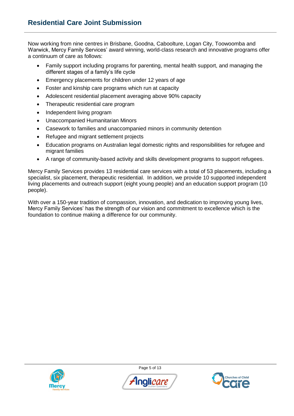Now working from nine centres in Brisbane, Goodna, Caboolture, Logan City, Toowoomba and Warwick, Mercy Family Services' award winning, world-class research and innovative programs offer a continuum of care as follows:

- Family support including programs for parenting, mental health support, and managing the different stages of a family's life cycle
- Emergency placements for children under 12 years of age
- Foster and kinship care programs which run at capacity
- Adolescent residential placement averaging above 90% capacity
- Therapeutic residential care program
- Independent living program
- Unaccompanied Humanitarian Minors
- Casework to families and unaccompanied minors in community detention
- Refugee and migrant settlement projects
- Education programs on Australian legal domestic rights and responsibilities for refugee and migrant families
- A range of community-based activity and skills development programs to support refugees.

Mercy Family Services provides 13 residential care services with a total of 53 placements, including a specialist, six placement, therapeutic residential. In addition, we provide 10 supported independent living placements and outreach support (eight young people) and an education support program (10 people).

With over a 150-year tradition of compassion, innovation, and dedication to improving young lives, Mercy Family Services' has the strength of our vision and commitment to excellence which is the foundation to continue making a difference for our community.



Page 5 of 13



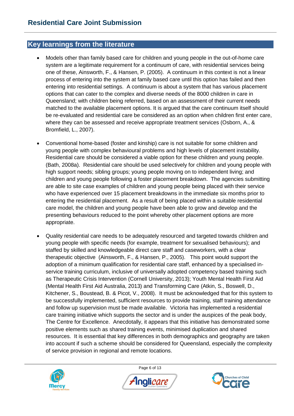# **Key learnings from the literature**

- Models other than family based care for children and young people in the out-of-home care system are a legitimate requirement for a continuum of care, with residential services being one of these, Ainsworth, F., & Hansen, P. (2005). A continuum in this context is not a linear process of entering into the system at family based care until this option has failed and then entering into residential settings. A continuum is about a system that has various placement options that can cater to the complex and diverse needs of the 8000 children in care in Queensland; with children being referred, based on an assessment of their current needs matched to the available placement options. It is argued that the care continuum itself should be re-evaluated and residential care be considered as an option when children first enter care, where they can be assessed and receive appropriate treatment services (Osborn, A., & Bromfield, L., 2007).
- Conventional home-based (foster and kinship) care is not suitable for some children and young people with complex behavioural problems and high levels of placement instability. Residential care should be considered a viable option for these children and young people. (Bath, 2008a). Residential care should be used selectively for children and young people with high support needs; sibling groups; young people moving on to independent living; and children and young people following a foster placement breakdown. The agencies submitting are able to site case examples of children and young people being placed with their service who have experienced over 15 placement breakdowns in the immediate six months prior to entering the residential placement. As a result of being placed within a suitable residential care model, the children and young people have been able to grow and develop and the presenting behaviours reduced to the point whereby other placement options are more appropriate.
- Quality residential care needs to be adequately resourced and targeted towards children and young people with specific needs (for example, treatment for sexualised behaviours); and staffed by skilled and knowledgeable direct care staff and caseworkers, with a clear therapeutic objective (Ainsworth, F., & Hansen, P., 2005). This point would support the adoption of a minimum qualification for residential care staff, enhanced by a specialised inservice training curriculum, inclusive of universally adopted competency based training such as Therapeutic Crisis Intervention (Cornell University, 2013); Youth Mental Health First Aid (Mental Health First Aid Australia, 2013) and Transforming Care (Atkin, S., Boswell, D., Kitchener, S., Boustead, B. & Picot, V., 2008). It must be acknowledged that for this system to be successfully implemented, sufficient resources to provide training, staff training attendance and follow up supervision must be made available. Victoria has implemented a residential care training initiative which supports the sector and is under the auspices of the peak body, The Centre for Excellence. Anecdotally, it appears that this initiative has demonstrated some positive elements such as shared training events, minimised duplication and shared resources. It is essential that key differences in both demographics and geography are taken into account if such a scheme should be considered for Queensland, especially the complexity of service provision in regional and remote locations.



Page 6 of 13



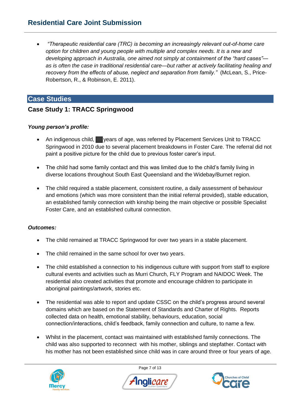# **Residential Care Joint Submission**

 *"Therapeutic residential care (TRC) is becoming an increasingly relevant out-of-home care option for children and young people with multiple and complex needs. It is a new and developing approach in Australia, one aimed not simply at containment of the "hard cases" as is often the case in traditional residential care—but rather at actively facilitating healing and recovery from the effects of abuse, neglect and separation from family."* (McLean, S., Price-Robertson, R., & Robinson, E. 2011).

# **Case Studies**

# **Case Study 1: TRACC Springwood**

# *Young person's profile:*

- An indigenous child, vears of age, was referred by Placement Services Unit to TRACC Springwood in 2010 due to several placement breakdowns in Foster Care. The referral did not paint a positive picture for the child due to previous foster carer's input.
- The child had some family contact and this was limited due to the child's family living in diverse locations throughout South East Queensland and the Widebay/Burnet region.
- The child required a stable placement, consistent routine, a daily assessment of behaviour and emotions (which was more consistent than the initial referral provided), stable education, an established family connection with kinship being the main objective or possible Specialist Foster Care, and an established cultural connection.

#### *Outcomes:*

- The child remained at TRACC Springwood for over two years in a stable placement.
- The child remained in the same school for over two years.
- The child established a connection to his indigenous culture with support from staff to explore cultural events and activities such as Murri Church, FLY Program and NAIDOC Week. The residential also created activities that promote and encourage children to participate in aboriginal paintings/artwork, stories etc.
- The residential was able to report and update CSSC on the child's progress around several domains which are based on the Statement of Standards and Charter of Rights. Reports collected data on health, emotional stability, behaviours, education, social connection/interactions, child's feedback, family connection and culture, to name a few.
- Whilst in the placement, contact was maintained with established family connections. The child was also supported to reconnect with his mother, siblings and stepfather. Contact with his mother has not been established since child was in care around three or four years of age.



Page 7 of 13



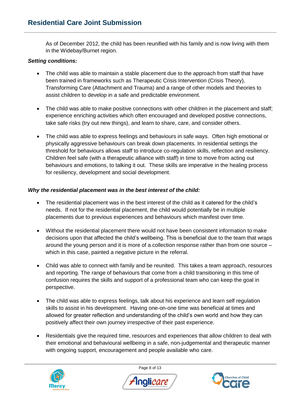As of December 2012, the child has been reunified with his family and is now living with them in the Widebay/Burnet region.

#### *Setting conditions:*

- The child was able to maintain a stable placement due to the approach from staff that have been trained in frameworks such as Therapeutic Crisis Intervention (Crisis Theory), Transforming Care (Attachment and Trauma) and a range of other models and theories to assist children to develop in a safe and predictable environment.
- The child was able to make positive connections with other children in the placement and staff; experience enriching activities which often encouraged and developed positive connections, take safe risks (try out new things), and learn to share, care, and consider others.
- The child was able to express feelings and behaviours in safe ways. Often high emotional or physically aggressive behaviours can break down placements. In residential settings the threshold for behaviours allows staff to introduce co-regulation skills, reflection and resiliency. Children feel safe (with a therapeutic alliance with staff) in time to move from acting out behaviours and emotions, to talking it out. These skills are imperative in the healing process for resiliency, development and social development.

#### *Why the residential placement was in the best interest of the child:*

- The residential placement was in the best interest of the child as it catered for the child's needs. If not for the residential placement, the child would potentially be in multiple placements due to previous experiences and behaviours which manifest over time.
- Without the residential placement there would not have been consistent information to make decisions upon that affected the child's wellbeing. This is beneficial due to the team that wraps around the young person and it is more of a collection response rather than from one source – which in this case, painted a negative picture in the referral.
- Child was able to connect with family and be reunited. This takes a team approach, resources and reporting. The range of behaviours that come from a child transitioning in this time of confusion requires the skills and support of a professional team who can keep the goal in perspective.
- The child was able to express feelings, talk about his experience and learn self regulation skills to assist in his development. Having one-on-one time was beneficial at times and allowed for greater reflection and understanding of the child's own world and how they can positively affect their own journey irrespective of their past experience.
- Residentials give the required time, resources and experiences that allow children to deal with their emotional and behavioural wellbeing in a safe, non-judgemental and therapeutic manner with ongoing support, encouragement and people available who care.



Page 8 of 13



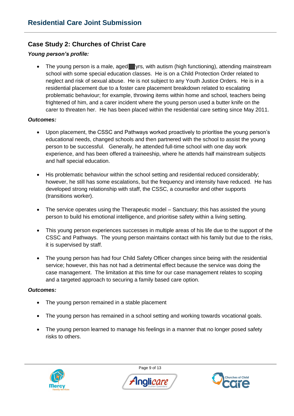# **Case Study 2: Churches of Christ Care**

#### *Young person's profile:*

• The young person is a male, aged yrs, with autism (high functioning), attending mainstream school with some special education classes. He is on a Child Protection Order related to neglect and risk of sexual abuse. He is not subject to any Youth Justice Orders. He is in a residential placement due to a foster care placement breakdown related to escalating problematic behaviour; for example, throwing items within home and school, teachers being frightened of him, and a carer incident where the young person used a butter knife on the carer to threaten her. He has been placed within the residential care setting since May 2011.

#### *Outcomes:*

- Upon placement, the CSSC and Pathways worked proactively to prioritise the young person's educational needs, changed schools and then partnered with the school to assist the young person to be successful. Generally, he attended full-time school with one day work experience, and has been offered a traineeship, where he attends half mainstream subjects and half special education.
- His problematic behaviour within the school setting and residential reduced considerably; however, he still has some escalations, but the frequency and intensity have reduced. He has developed strong relationship with staff, the CSSC, a counsellor and other supports (transitions worker).
- The service operates using the Therapeutic model Sanctuary; this has assisted the young person to build his emotional intelligence, and prioritise safety within a living setting.
- This young person experiences successes in multiple areas of his life due to the support of the CSSC and Pathways. The young person maintains contact with his family but due to the risks, it is supervised by staff.
- The young person has had four Child Safety Officer changes since being with the residential service; however, this has not had a detrimental effect because the service was doing the case management. The limitation at this time for our case management relates to scoping and a targeted approach to securing a family based care option.

#### *Outcomes:*

- The young person remained in a stable placement
- The young person has remained in a school setting and working towards vocational goals.
- The young person learned to manage his feelings in a manner that no longer posed safety risks to others.



Page 9 of 13



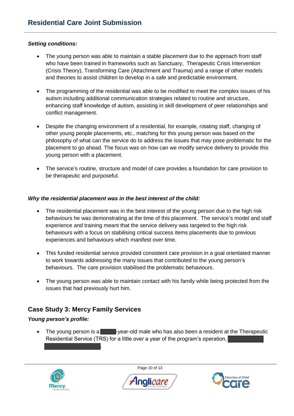#### *Setting conditions:*

- The young person was able to maintain a stable placement due to the approach from staff who have been trained in frameworks such as Sanctuary, Therapeutic Crisis Intervention (Crisis Theory), Transforming Care (Attachment and Trauma) and a range of other models and theories to assist children to develop in a safe and predictable environment.
- The programming of the residential was able to be modified to meet the complex issues of his autism including additional communication strategies related to routine and structure, enhancing staff knowledge of autism, assisting in skill development of peer relationships and conflict management.
- Despite the changing environment of a residential, for example, rotating staff, changing of other young people placements, etc., matching for this young person was based on the philosophy of what can the service do to address the issues that may pose problematic for the placement to go ahead. The focus was on how can we modify service delivery to provide this young person with a placement.
- The service's routine, structure and model of care provides a foundation for care provision to be therapeutic and purposeful.

#### *Why the residential placement was in the best interest of the child:*

- The residential placement was in the best interest of the young person due to the high risk behaviours he was demonstrating at the time of this placement. The service's model and staff experience and training meant that the service delivery was targeted to the high risk behaviours with a focus on stabilising critical success items placements due to previous experiences and behaviours which manifest over time.
- This funded residential service provided consistent care provision in a goal orientated manner to work towards addressing the many issues that contributed to the young person's behaviours. The care provision stabilised the problematic behaviours.
- The young person was able to maintain contact with his family while being protected from the issues that had previously hurt him.

# **Case Study 3: Mercy Family Services**

.

#### *Young person's profile:*

 $\bullet$  The young person is a  $\bullet$  -year-old male who has also been a resident at the Therapeutic Residential Service (TRS) for a little over a year of the program's operation,



Page 10 of 13



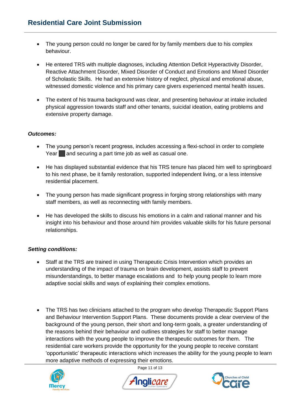- The young person could no longer be cared for by family members due to his complex behaviour.
- He entered TRS with multiple diagnoses, including Attention Deficit Hyperactivity Disorder, Reactive Attachment Disorder, Mixed Disorder of Conduct and Emotions and Mixed Disorder of Scholastic Skills. He had an extensive history of neglect, physical and emotional abuse, witnessed domestic violence and his primary care givers experienced mental health issues.
- The extent of his trauma background was clear, and presenting behaviour at intake included physical aggression towards staff and other tenants, suicidal ideation, eating problems and extensive property damage.

#### *Outcomes:*

- The young person's recent progress, includes accessing a flexi-school in order to complete Year and securing a part time job as well as casual one.
- He has displayed substantial evidence that his TRS tenure has placed him well to springboard to his next phase, be it family restoration, supported independent living, or a less intensive residential placement.
- The young person has made significant progress in forging strong relationships with many staff members, as well as reconnecting with family members.
- He has developed the skills to discuss his emotions in a calm and rational manner and his insight into his behaviour and those around him provides valuable skills for his future personal relationships.

# *Setting conditions:*

- Staff at the TRS are trained in using Therapeutic Crisis Intervention which provides an understanding of the impact of trauma on brain development, assists staff to prevent misunderstandings, to better manage escalations and to help young people to learn more adaptive social skills and ways of explaining their complex emotions.
- The TRS has two clinicians attached to the program who develop Therapeutic Support Plans and Behaviour Intervention Support Plans. These documents provide a clear overview of the background of the young person, their short and long-term goals, a greater understanding of the reasons behind their behaviour and outlines strategies for staff to better manage interactions with the young people to improve the therapeutic outcomes for them. The residential care workers provide the opportunity for the young people to receive constant 'opportunistic' therapeutic interactions which increases the ability for the young people to learn more adaptive methods of expressing their emotions.



Page 11 of 13



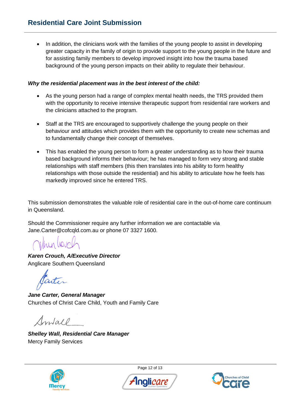In addition, the clinicians work with the families of the young people to assist in developing greater capacity in the family of origin to provide support to the young people in the future and for assisting family members to develop improved insight into how the trauma based background of the young person impacts on their ability to regulate their behaviour.

#### *Why the residential placement was in the best interest of the child:*

- As the young person had a range of complex mental health needs, the TRS provided them with the opportunity to receive intensive therapeutic support from residential rare workers and the clinicians attached to the program.
- Staff at the TRS are encouraged to supportively challenge the young people on their behaviour and attitudes which provides them with the opportunity to create new schemas and to fundamentally change their concept of themselves.
- This has enabled the young person to form a greater understanding as to how their trauma based background informs their behaviour; he has managed to form very strong and stable relationships with staff members (this then translates into his ability to form healthy relationships with those outside the residential) and his ability to articulate how he feels has markedly improved since he entered TRS.

This submission demonstrates the valuable role of residential care in the out-of-home care continuum in Queensland.

Should the Commissioner require any further information we are contactable via Jane.Carter@cofcqld.com.au or phone 07 3327 1600.

Viny lovel

*Karen Crouch, A/Executive Director*  Anglicare Southern Queensland

*Jane Carter, General Manager*  Churches of Christ Care Child, Youth and Family Care

Sontall

*Shelley Wall, Residential Care Manager*  Mercy Family Services



Page 12 of 13